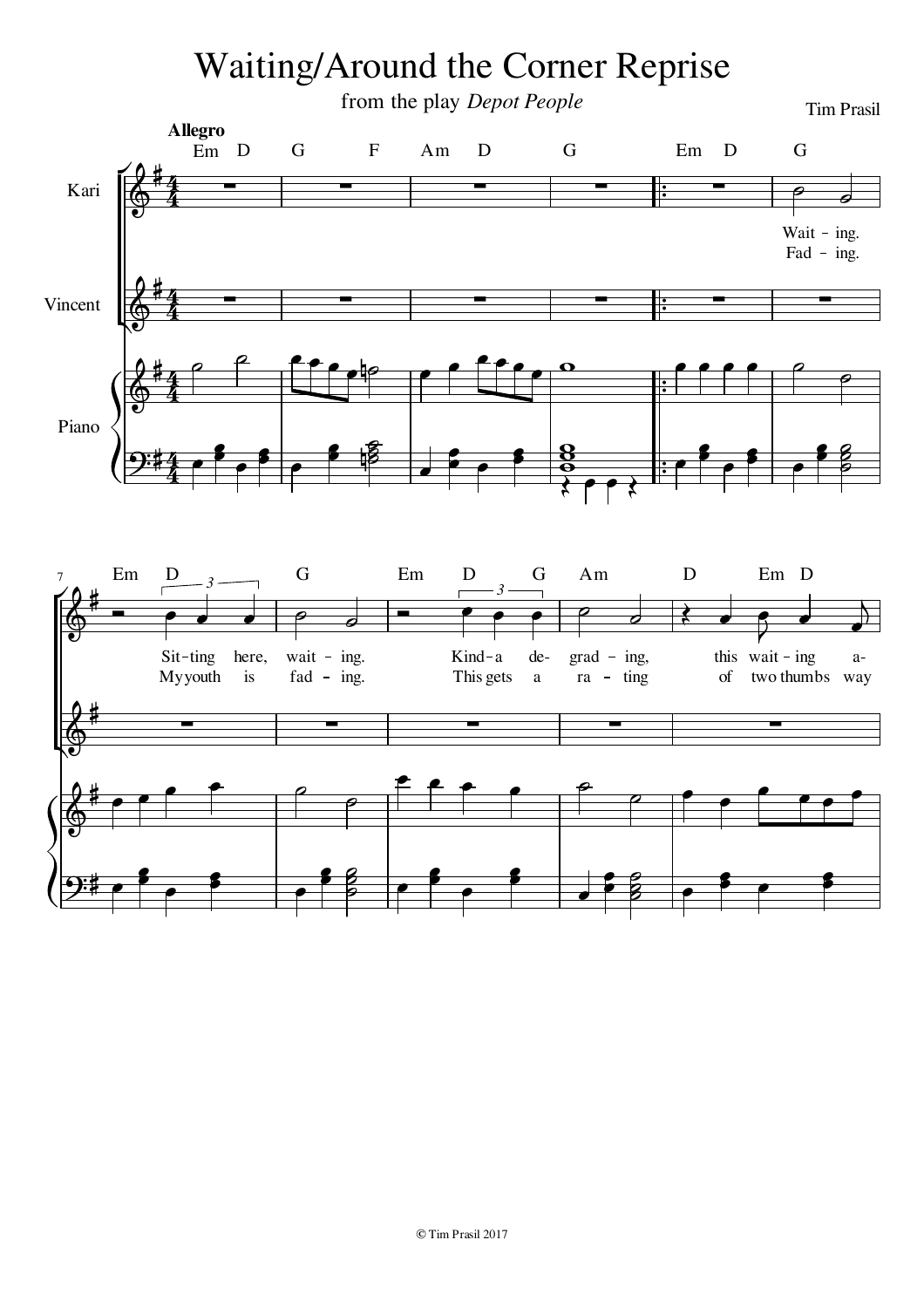## Waiting/Around the Corner Reprise

from the play *Depot People* Tim Prasil Kari Vincent Piano  $\frac{1}{2}$  $\frac{1}{\cdot}$  $\frac{1}{2}$  $\overline{\phantom{a}}$  $\frac{1}{2}$  $\overline{\phantom{a}}$  $\frac{1}{2}$  $\frac{1}{2}$ b j  $\overline{a}$  $\overline{\mathbf{z}}$ ß  $\overline{\phantom{0}}$  $\overline{P}$   $\overline{P}$  $\overline{\phantom{a}}$  $\overline{\mathbf{z}}$ f  $\overline{\mathbf{z}}$ f  $\overrightarrow{p}$  $\bullet$ 33  $\bullet$  $\bullet$  $\rho$  $\bullet$  $\overline{r}$  $\overline{\mathbf{z}}$ ß 8  $\overline{\phantom{a}}$  $\overline{\phantom{0}}$  $\bullet$   $\bullet$   $\bullet$   $\circ$  $\frac{1}{2}$  $\overline{e}$  $\overline{\bullet}$   $\overline{\phantom{0}}$  $\overline{ }$  $\overline{ }$  $\overline{\phantom{a}}$  $\overline{ }$  $\mathbf{g}$   $\overline{\bullet}$  $\overline{ }$ 8  $\bigotimes$  $\bigotimes$  $\bigotimes$ <u>ດ:</u> ł ł ł đ 4 4<br>4 4 4 4 4 4 4 L  $\overline{a}$  $\overline{a}$  $\overline{a}$  $\overline{a}$  $\overline{a}$ L  $\overline{a}$  $\overline{a}$  $\overline{\phantom{a}}$  $\frac{1}{2}$   $\frac{1}{2}$   $\frac{1}{2}$ Fad - ing. Wait - ing. **Allegro** Em D G F Am D G Em D G  $\begin{array}{ccccccccccccccccc}\n\text{Em} & \text{D} & & & \text{G} & & \text{Em} & \text{D} & & \text{G} & & \text{Am} & & \text{D} & & \text{Em} & \text{D}\n\end{array}$  $\overline{r}$ Į

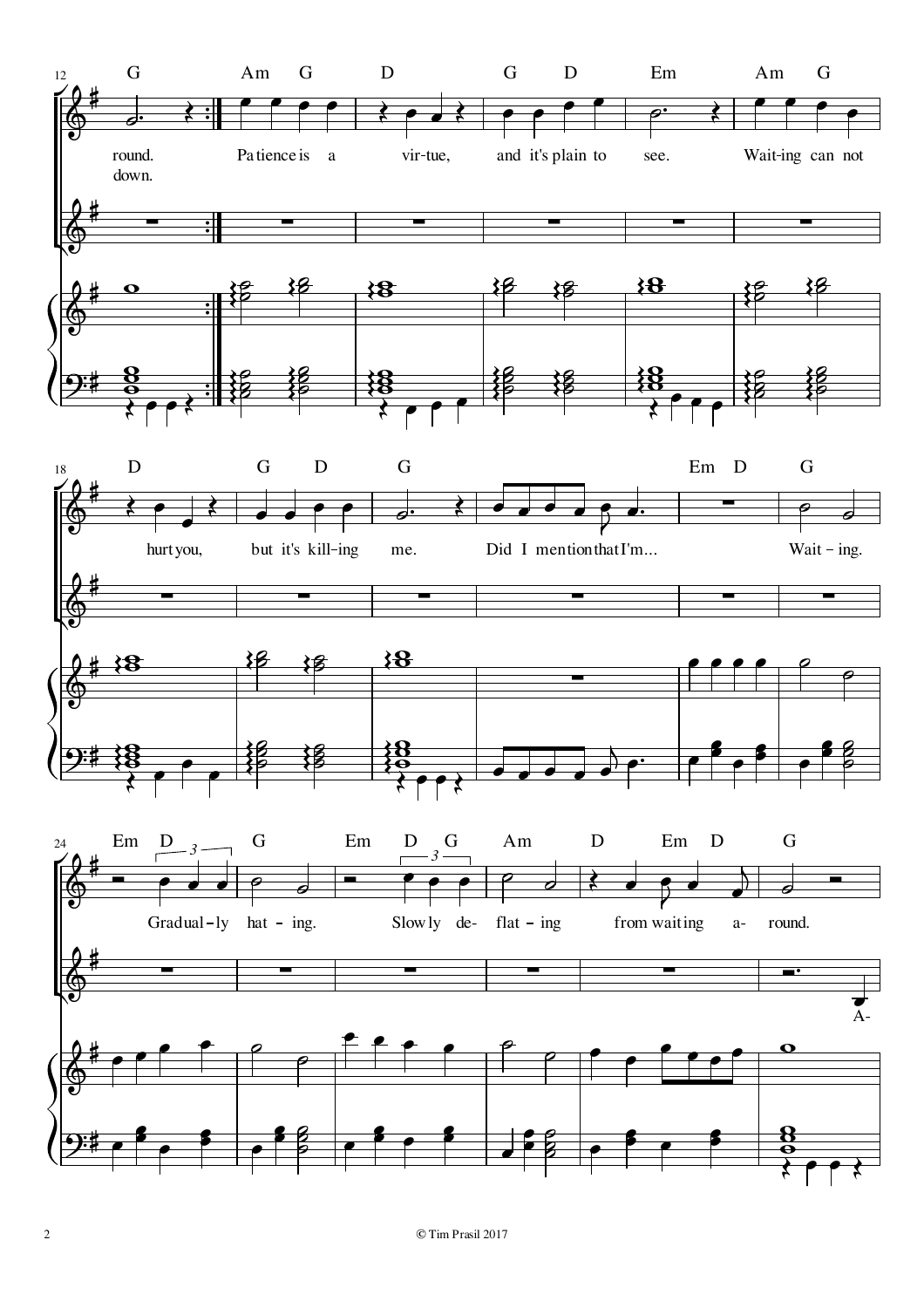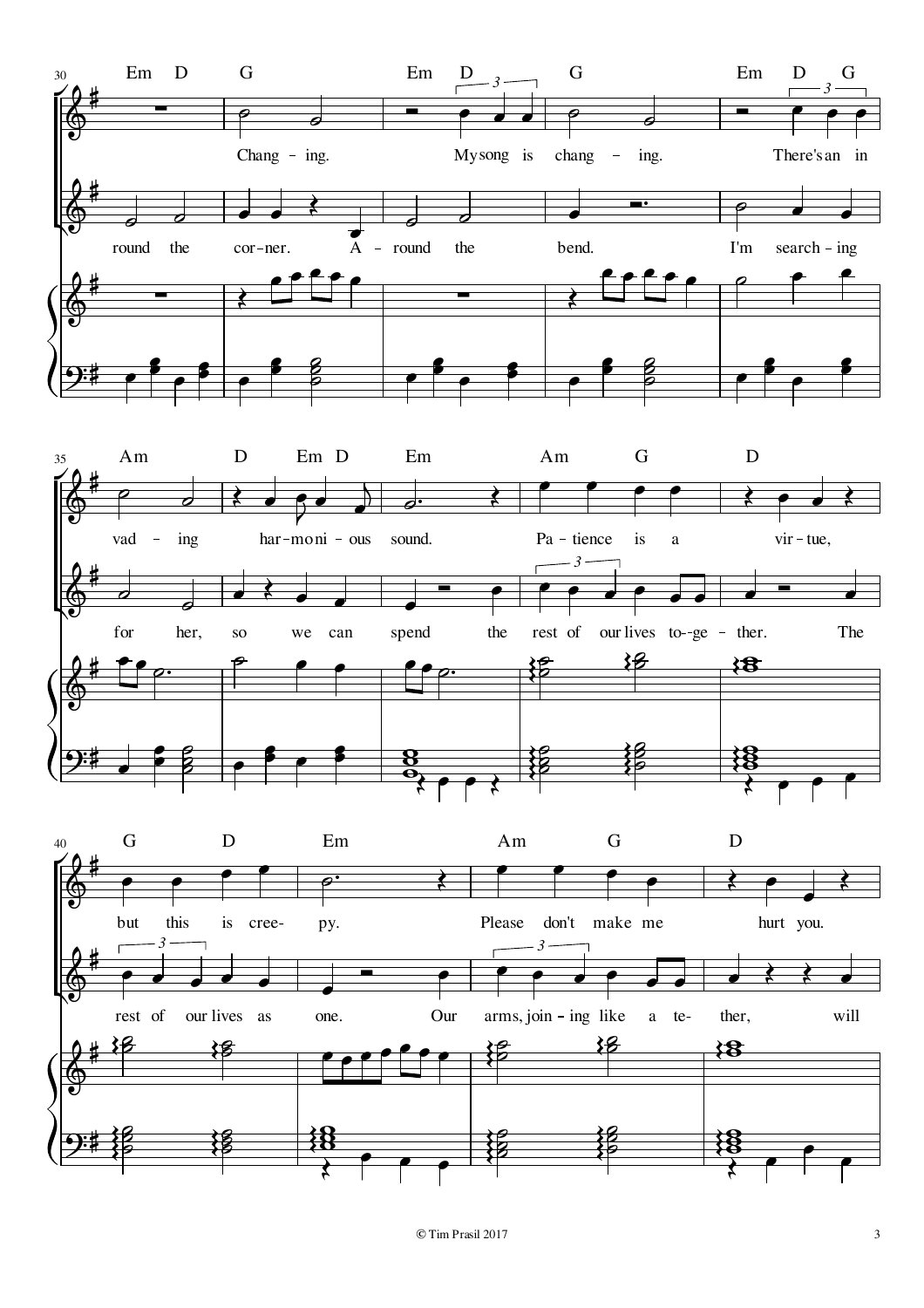